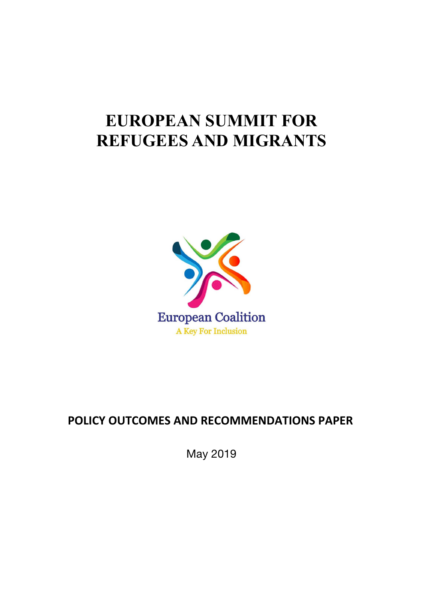### **EUROPEAN SUMMIT FOR REFUGEES AND MIGRANTS**



### **POLICY OUTCOMES AND RECOMMENDATIONS PAPER**

May 2019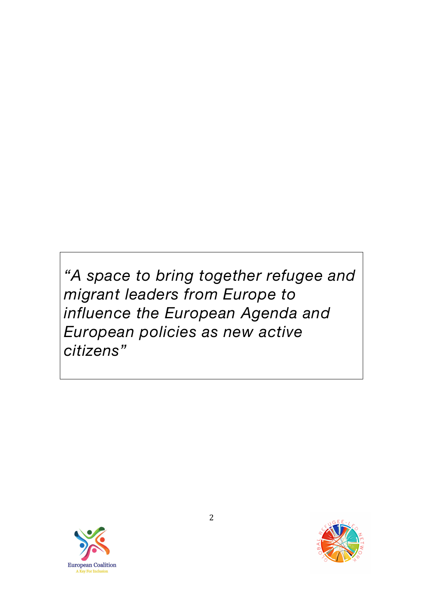*"A space to bring together refugee and migrant leaders from Europe to influence the European Agenda and European policies as new active citizens"* 



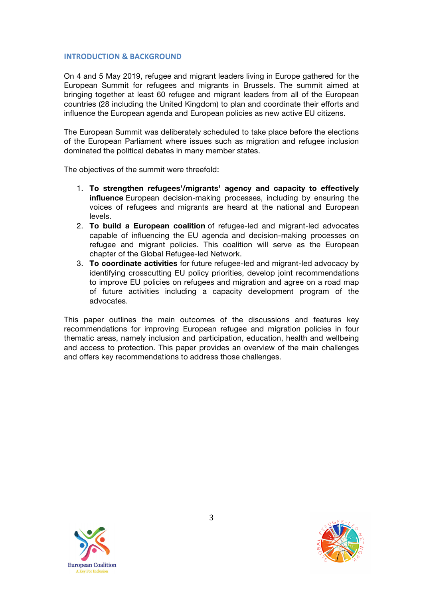#### **INTRODUCTION & BACKGROUND**

On 4 and 5 May 2019, refugee and migrant leaders living in Europe gathered for the European Summit for refugees and migrants in Brussels. The summit aimed at bringing together at least 60 refugee and migrant leaders from all of the European countries (28 including the United Kingdom) to plan and coordinate their efforts and influence the European agenda and European policies as new active EU citizens.

The European Summit was deliberately scheduled to take place before the elections of the European Parliament where issues such as migration and refugee inclusion dominated the political debates in many member states.

The objectives of the summit were threefold:

- 1. **To strengthen refugees'/migrants' agency and capacity to effectively influence** European decision-making processes, including by ensuring the voices of refugees and migrants are heard at the national and European levels.
- 2. **To build a European coalition** of refugee-led and migrant-led advocates capable of influencing the EU agenda and decision-making processes on refugee and migrant policies. This coalition will serve as the European chapter of the Global Refugee-led Network.
- 3. **To coordinate activities** for future refugee-led and migrant-led advocacy by identifying crosscutting EU policy priorities, develop joint recommendations to improve EU policies on refugees and migration and agree on a road map of future activities including a capacity development program of the advocates.

This paper outlines the main outcomes of the discussions and features key recommendations for improving European refugee and migration policies in four thematic areas, namely inclusion and participation, education, health and wellbeing and access to protection. This paper provides an overview of the main challenges and offers key recommendations to address those challenges.



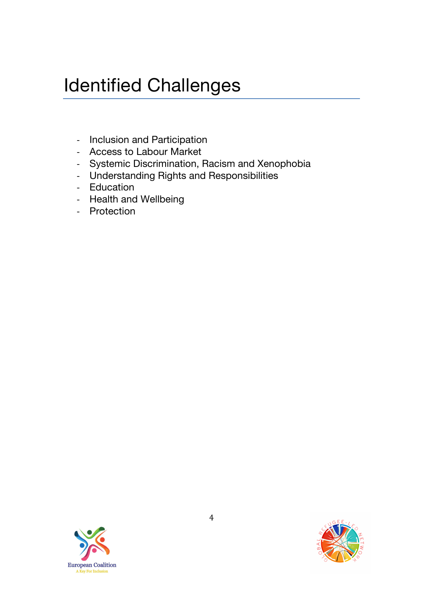# Identified Challenges

- Inclusion and Participation
- Access to Labour Market
- Systemic Discrimination, Racism and Xenophobia
- Understanding Rights and Responsibilities
- Education
- Health and Wellbeing
- Protection



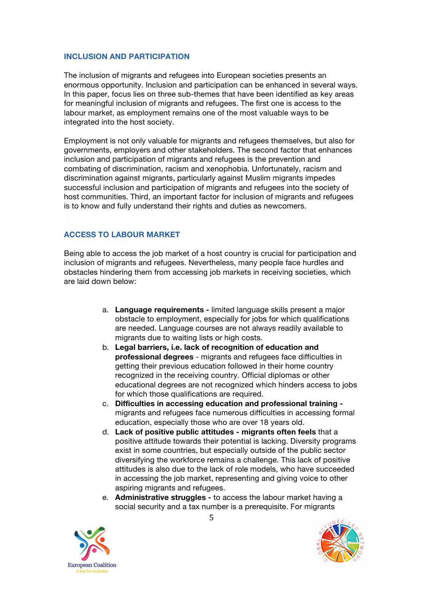#### **INCLUSION AND PARTICIPATION**

The inclusion of migrants and refugees into European societies presents an enormous opportunity. Inclusion and participation can be enhanced in several ways. In this paper, focus lies on three sub-themes that have been identified as key areas for meaningful inclusion of migrants and refugees. The first one is access to the labour market, as employment remains one of the most valuable ways to be integrated into the host society.

Employment is not only valuable for migrants and refugees themselves, but also for governments, employers and other stakeholders. The second factor that enhances inclusion and participation of migrants and refugees is the prevention and combating of discrimination, racism and xenophobia. Unfortunately, racism and discrimination against migrants, particularly against Muslim migrants impedes successful inclusion and participation of migrants and refugees into the society of host communities. Third, an important factor for inclusion of migrants and refugees is to know and fully understand their rights and duties as newcomers.

#### **ACCESS TO LABOUR MARKET**

Being able to access the job market of a host country is crucial for participation and inclusion of migrants and refugees. Nevertheless, many people face hurdles and obstacles hindering them from accessing job markets in receiving societies, which are laid down below:

- a. **Language requirements -** limited language skills present a major obstacle to employment, especially for jobs for which qualifications are needed. Language courses are not always readily available to migrants due to waiting lists or high costs.
- b. **Legal barriers, i.e. lack of recognition of education and professional degrees** - migrants and refugees face difficulties in getting their previous education followed in their home country recognized in the receiving country. Official diplomas or other educational degrees are not recognized which hinders access to jobs for which those qualifications are required.
- c. **Difficulties in accessing education and professional training**  migrants and refugees face numerous difficulties in accessing formal education, especially those who are over 18 years old.
- d. **Lack of positive public attitudes - migrants often feels** that a positive attitude towards their potential is lacking. Diversity programs exist in some countries, but especially outside of the public sector diversifying the workforce remains a challenge. This lack of positive attitudes is also due to the lack of role models, who have succeeded in accessing the job market, representing and giving voice to other aspiring migrants and refugees.
- e. **Administrative struggles -** to access the labour market having a social security and a tax number is a prerequisite. For migrants



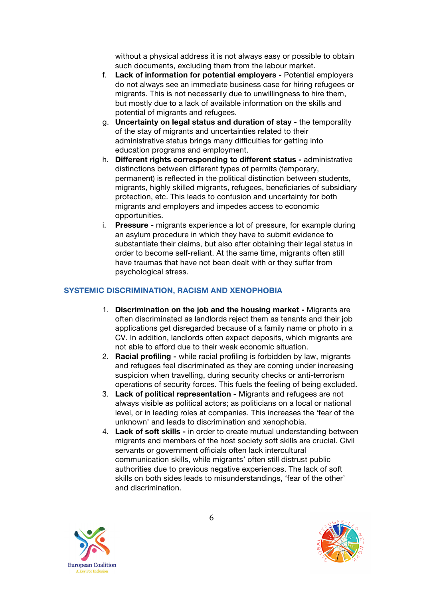without a physical address it is not always easy or possible to obtain such documents, excluding them from the labour market.

- f. **Lack of information for potential employers -** Potential employers do not always see an immediate business case for hiring refugees or migrants. This is not necessarily due to unwillingness to hire them, but mostly due to a lack of available information on the skills and potential of migrants and refugees.
- g. **Uncertainty on legal status and duration of stay -** the temporality of the stay of migrants and uncertainties related to their administrative status brings many difficulties for getting into education programs and employment.
- h. **Different rights corresponding to different status -** administrative distinctions between different types of permits (temporary, permanent) is reflected in the political distinction between students, migrants, highly skilled migrants, refugees, beneficiaries of subsidiary protection, etc. This leads to confusion and uncertainty for both migrants and employers and impedes access to economic opportunities.
- i. **Pressure -** migrants experience a lot of pressure, for example during an asylum procedure in which they have to submit evidence to substantiate their claims, but also after obtaining their legal status in order to become self-reliant. At the same time, migrants often still have traumas that have not been dealt with or they suffer from psychological stress.

#### **SYSTEMIC DISCRIMINATION, RACISM AND XENOPHOBIA**

- 1. **Discrimination on the job and the housing market -** Migrants are often discriminated as landlords reject them as tenants and their job applications get disregarded because of a family name or photo in a CV. In addition, landlords often expect deposits, which migrants are not able to afford due to their weak economic situation.
- 2. **Racial profiling -** while racial profiling is forbidden by law, migrants and refugees feel discriminated as they are coming under increasing suspicion when travelling, during security checks or anti-terrorism operations of security forces. This fuels the feeling of being excluded.
- 3. **Lack of political representation -** Migrants and refugees are not always visible as political actors; as politicians on a local or national level, or in leading roles at companies. This increases the 'fear of the unknown' and leads to discrimination and xenophobia.
- 4. **Lack of soft skills -** in order to create mutual understanding between migrants and members of the host society soft skills are crucial. Civil servants or government officials often lack intercultural communication skills, while migrants' often still distrust public authorities due to previous negative experiences. The lack of soft skills on both sides leads to misunderstandings, 'fear of the other' and discrimination.



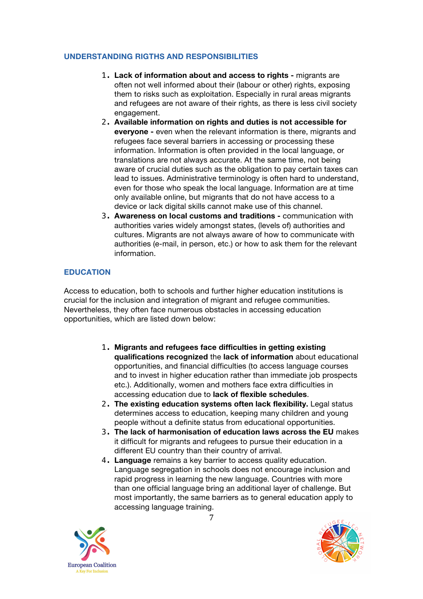#### **UNDERSTANDING RIGTHS AND RESPONSIBILITIES**

- 1. **Lack of information about and access to rights -** migrants are often not well informed about their (labour or other) rights, exposing them to risks such as exploitation. Especially in rural areas migrants and refugees are not aware of their rights, as there is less civil society engagement.
- 2. **Available information on rights and duties is not accessible for everyone -** even when the relevant information is there, migrants and refugees face several barriers in accessing or processing these information. Information is often provided in the local language, or translations are not always accurate. At the same time, not being aware of crucial duties such as the obligation to pay certain taxes can lead to issues. Administrative terminology is often hard to understand, even for those who speak the local language. Information are at time only available online, but migrants that do not have access to a device or lack digital skills cannot make use of this channel.
- 3. **Awareness on local customs and traditions -** communication with authorities varies widely amongst states, (levels of) authorities and cultures. Migrants are not always aware of how to communicate with authorities (e-mail, in person, etc.) or how to ask them for the relevant information.

#### **EDUCATION**

Access to education, both to schools and further higher education institutions is crucial for the inclusion and integration of migrant and refugee communities. Nevertheless, they often face numerous obstacles in accessing education opportunities, which are listed down below:

- 1. **Migrants and refugees face difficulties in getting existing qualifications recognized** the **lack of information** about educational opportunities, and financial difficulties (to access language courses and to invest in higher education rather than immediate job prospects etc.). Additionally, women and mothers face extra difficulties in accessing education due to **lack of flexible schedules**.
- 2. **The existing education systems often lack flexibility.** Legal status determines access to education, keeping many children and young people without a definite status from educational opportunities.
- 3. **The lack of harmonisation of education laws across the EU** makes it difficult for migrants and refugees to pursue their education in a different EU country than their country of arrival.
- 4. **Language** remains a key barrier to access quality education. Language segregation in schools does not encourage inclusion and rapid progress in learning the new language. Countries with more than one official language bring an additional layer of challenge. But most importantly, the same barriers as to general education apply to accessing language training.



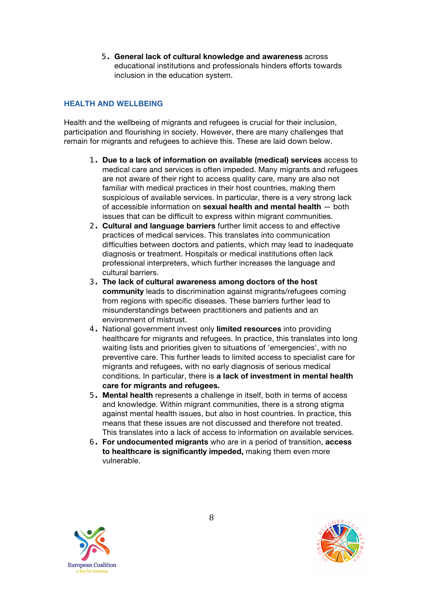5. **General lack of cultural knowledge and awareness** across educational institutions and professionals hinders efforts towards inclusion in the education system.

#### **HEALTH AND WELLBEING**

Health and the wellbeing of migrants and refugees is crucial for their inclusion, participation and flourishing in society. However, there are many challenges that remain for migrants and refugees to achieve this. These are laid down below.

- 1. **Due to a lack of information on available (medical) services** access to medical care and services is often impeded. Many migrants and refugees are not aware of their right to access quality care, many are also not familiar with medical practices in their host countries, making them suspicious of available services. In particular, there is a very strong lack of accessible information on **sexual health and mental health** — both issues that can be difficult to express within migrant communities.
- 2. **Cultural and language barriers** further limit access to and effective practices of medical services. This translates into communication difficulties between doctors and patients, which may lead to inadequate diagnosis or treatment. Hospitals or medical institutions often lack professional interpreters, which further increases the language and cultural barriers.
- 3. **The lack of cultural awareness among doctors of the host community** leads to discrimination against migrants/refugees coming from regions with specific diseases. These barriers further lead to misunderstandings between practitioners and patients and an environment of mistrust.
- 4. National government invest only **limited resources** into providing healthcare for migrants and refugees. In practice, this translates into long waiting lists and priorities given to situations of 'emergencies', with no preventive care. This further leads to limited access to specialist care for migrants and refugees, with no early diagnosis of serious medical conditions. In particular, there is **a lack of investment in mental health care for migrants and refugees.**
- 5. **Mental health** represents a challenge in itself, both in terms of access and knowledge. Within migrant communities, there is a strong stigma against mental health issues, but also in host countries. In practice, this means that these issues are not discussed and therefore not treated. This translates into a lack of access to information on available services.
- 6. **For undocumented migrants** who are in a period of transition, **access to healthcare is significantly impeded,** making them even more vulnerable.



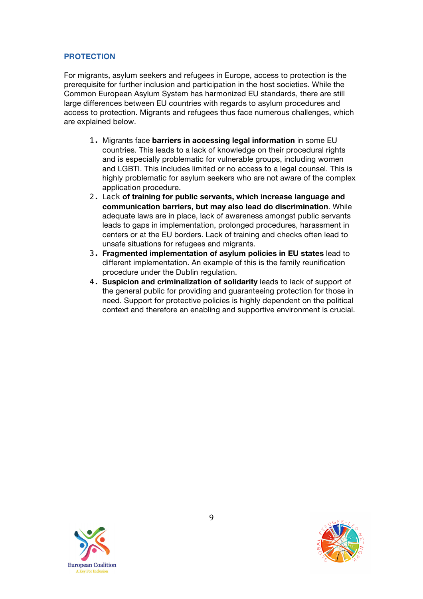#### **PROTECTION**

For migrants, asylum seekers and refugees in Europe, access to protection is the prerequisite for further inclusion and participation in the host societies. While the Common European Asylum System has harmonized EU standards, there are still large differences between EU countries with regards to asylum procedures and access to protection. Migrants and refugees thus face numerous challenges, which are explained below.

- 1. Migrants face **barriers in accessing legal information** in some EU countries. This leads to a lack of knowledge on their procedural rights and is especially problematic for vulnerable groups, including women and LGBTI. This includes limited or no access to a legal counsel. This is highly problematic for asylum seekers who are not aware of the complex application procedure.
- 2. Lack **of training for public servants, which increase language and communication barriers, but may also lead do discrimination**. While adequate laws are in place, lack of awareness amongst public servants leads to gaps in implementation, prolonged procedures, harassment in centers or at the EU borders. Lack of training and checks often lead to unsafe situations for refugees and migrants.
- 3. **Fragmented implementation of asylum policies in EU states** lead to different implementation. An example of this is the family reunification procedure under the Dublin regulation.
- 4. **Suspicion and criminalization of solidarity** leads to lack of support of the general public for providing and guaranteeing protection for those in need. Support for protective policies is highly dependent on the political context and therefore an enabling and supportive environment is crucial.



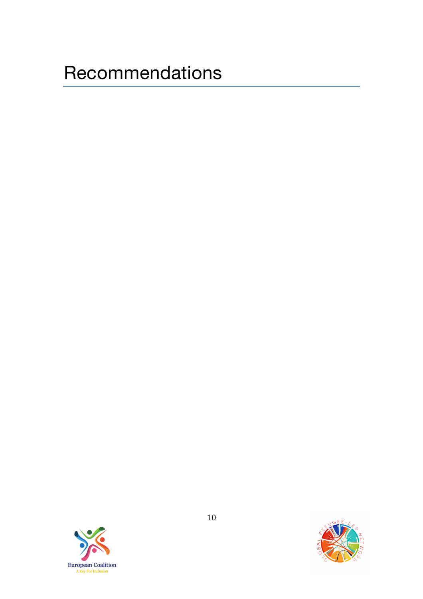## **Recommendations**



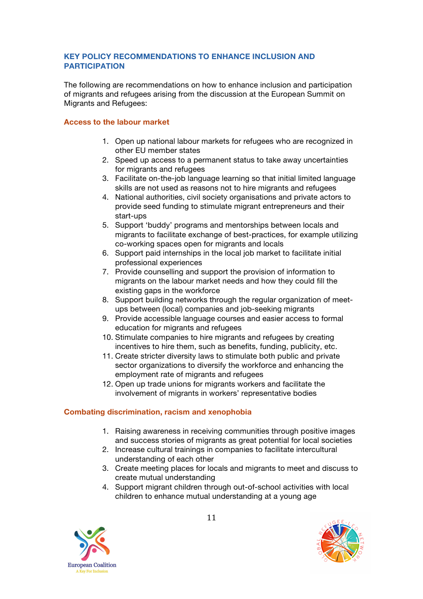#### **KEY POLICY RECOMMENDATIONS TO ENHANCE INCLUSION AND PARTICIPATION**

The following are recommendations on how to enhance inclusion and participation of migrants and refugees arising from the discussion at the European Summit on Migrants and Refugees:

#### **Access to the labour market**

- 1. Open up national labour markets for refugees who are recognized in other EU member states
- 2. Speed up access to a permanent status to take away uncertainties for migrants and refugees
- 3. Facilitate on-the-job language learning so that initial limited language skills are not used as reasons not to hire migrants and refugees
- 4. National authorities, civil society organisations and private actors to provide seed funding to stimulate migrant entrepreneurs and their start-ups
- 5. Support 'buddy' programs and mentorships between locals and migrants to facilitate exchange of best-practices, for example utilizing co-working spaces open for migrants and locals
- 6. Support paid internships in the local job market to facilitate initial professional experiences
- 7. Provide counselling and support the provision of information to migrants on the labour market needs and how they could fill the existing gaps in the workforce
- 8. Support building networks through the regular organization of meetups between (local) companies and job-seeking migrants
- 9. Provide accessible language courses and easier access to formal education for migrants and refugees
- 10. Stimulate companies to hire migrants and refugees by creating incentives to hire them, such as benefits, funding, publicity, etc.
- 11. Create stricter diversity laws to stimulate both public and private sector organizations to diversify the workforce and enhancing the employment rate of migrants and refugees
- 12. Open up trade unions for migrants workers and facilitate the involvement of migrants in workers' representative bodies

#### **Combating discrimination, racism and xenophobia**

- 1. Raising awareness in receiving communities through positive images and success stories of migrants as great potential for local societies
- 2. Increase cultural trainings in companies to facilitate intercultural understanding of each other
- 3. Create meeting places for locals and migrants to meet and discuss to create mutual understanding
- 4. Support migrant children through out-of-school activities with local children to enhance mutual understanding at a young age

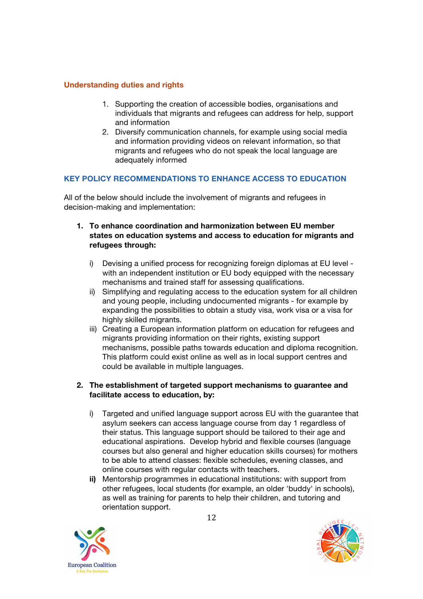#### **Understanding duties and rights**

- 1. Supporting the creation of accessible bodies, organisations and individuals that migrants and refugees can address for help, support and information
- 2. Diversify communication channels, for example using social media and information providing videos on relevant information, so that migrants and refugees who do not speak the local language are adequately informed

#### **KEY POLICY RECOMMENDATIONS TO ENHANCE ACCESS TO EDUCATION**

All of the below should include the involvement of migrants and refugees in decision-making and implementation:

- **1. To enhance coordination and harmonization between EU member states on education systems and access to education for migrants and refugees through:**
	- i) Devising a unified process for recognizing foreign diplomas at EU level with an independent institution or EU body equipped with the necessary mechanisms and trained staff for assessing qualifications.
	- ii) Simplifying and regulating access to the education system for all children and young people, including undocumented migrants - for example by expanding the possibilities to obtain a study visa, work visa or a visa for highly skilled migrants.
	- iii) Creating a European information platform on education for refugees and migrants providing information on their rights, existing support mechanisms, possible paths towards education and diploma recognition. This platform could exist online as well as in local support centres and could be available in multiple languages.

#### **2. The establishment of targeted support mechanisms to guarantee and facilitate access to education, by:**

- i) Targeted and unified language support across EU with the guarantee that asylum seekers can access language course from day 1 regardless of their status. This language support should be tailored to their age and educational aspirations. Develop hybrid and flexible courses (language courses but also general and higher education skills courses) for mothers to be able to attend classes: flexible schedules, evening classes, and online courses with regular contacts with teachers.
- **ii)** Mentorship programmes in educational institutions: with support from other refugees, local students (for example, an older 'buddy' in schools), as well as training for parents to help their children, and tutoring and orientation support.



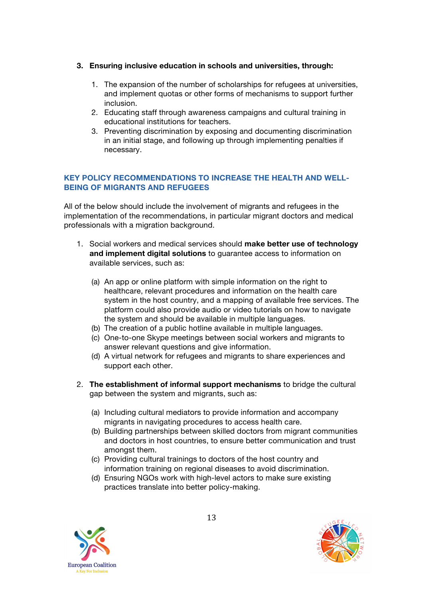#### **3. Ensuring inclusive education in schools and universities, through:**

- 1. The expansion of the number of scholarships for refugees at universities, and implement quotas or other forms of mechanisms to support further inclusion.
- 2. Educating staff through awareness campaigns and cultural training in educational institutions for teachers.
- 3. Preventing discrimination by exposing and documenting discrimination in an initial stage, and following up through implementing penalties if necessary.

#### **KEY POLICY RECOMMENDATIONS TO INCREASE THE HEALTH AND WELL-BEING OF MIGRANTS AND REFUGEES**

All of the below should include the involvement of migrants and refugees in the implementation of the recommendations, in particular migrant doctors and medical professionals with a migration background.

- 1. Social workers and medical services should **make better use of technology and implement digital solutions** to guarantee access to information on available services, such as:
	- (a) An app or online platform with simple information on the right to healthcare, relevant procedures and information on the health care system in the host country, and a mapping of available free services. The platform could also provide audio or video tutorials on how to navigate the system and should be available in multiple languages.
	- (b) The creation of a public hotline available in multiple languages.
	- (c) One-to-one Skype meetings between social workers and migrants to answer relevant questions and give information.
	- (d) A virtual network for refugees and migrants to share experiences and support each other.
- 2. **The establishment of informal support mechanisms** to bridge the cultural gap between the system and migrants, such as:
	- (a) Including cultural mediators to provide information and accompany migrants in navigating procedures to access health care.
	- (b) Building partnerships between skilled doctors from migrant communities and doctors in host countries, to ensure better communication and trust amongst them.
	- (c) Providing cultural trainings to doctors of the host country and information training on regional diseases to avoid discrimination.
	- (d) Ensuring NGOs work with high-level actors to make sure existing practices translate into better policy-making.

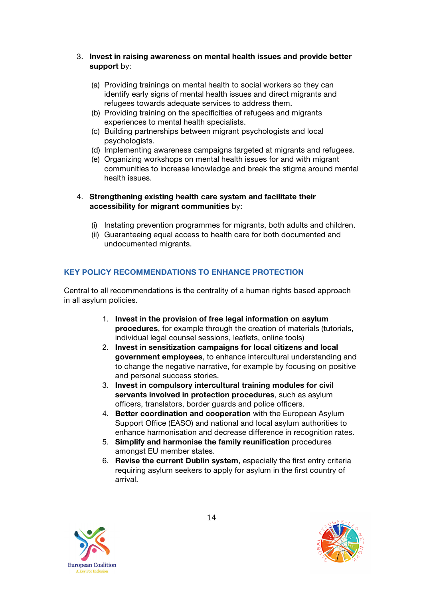- 3. **Invest in raising awareness on mental health issues and provide better support** by:
	- (a) Providing trainings on mental health to social workers so they can identify early signs of mental health issues and direct migrants and refugees towards adequate services to address them.
	- (b) Providing training on the specificities of refugees and migrants experiences to mental health specialists.
	- (c) Building partnerships between migrant psychologists and local psychologists.
	- (d) Implementing awareness campaigns targeted at migrants and refugees.
	- (e) Organizing workshops on mental health issues for and with migrant communities to increase knowledge and break the stigma around mental health issues.

#### 4. **Strengthening existing health care system and facilitate their accessibility for migrant communities** by:

- (i) Instating prevention programmes for migrants, both adults and children.
- (ii) Guaranteeing equal access to health care for both documented and undocumented migrants.

#### **KEY POLICY RECOMMENDATIONS TO ENHANCE PROTECTION**

Central to all recommendations is the centrality of a human rights based approach in all asylum policies.

- 1. **Invest in the provision of free legal information on asylum procedures**, for example through the creation of materials (tutorials, individual legal counsel sessions, leaflets, online tools)
- 2. **Invest in sensitization campaigns for local citizens and local government employees**, to enhance intercultural understanding and to change the negative narrative, for example by focusing on positive and personal success stories.
- 3. **Invest in compulsory intercultural training modules for civil servants involved in protection procedures**, such as asylum officers, translators, border guards and police officers.
- 4. **Better coordination and cooperation** with the European Asylum Support Office (EASO) and national and local asylum authorities to enhance harmonisation and decrease difference in recognition rates.
- 5. **Simplify and harmonise the family reunification** procedures amongst EU member states.
- 6. **Revise the current Dublin system**, especially the first entry criteria requiring asylum seekers to apply for asylum in the first country of arrival.